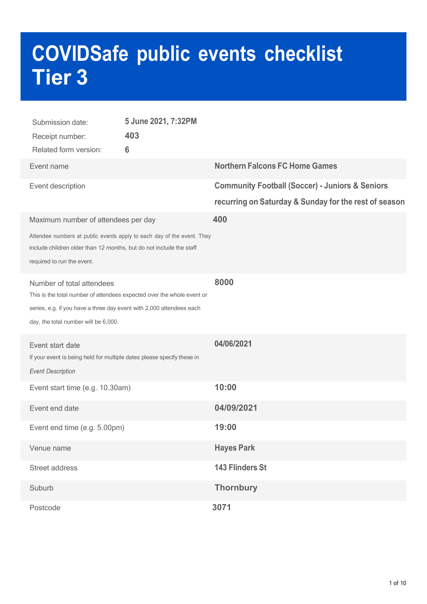# **COVIDSafe public events checklist Tier 3**

| Submission date:<br>Receipt number:<br>Related form version:                                                                                                                                                        | 5 June 2021, 7:32PM<br>403<br>6 |                                                                                                                     |
|---------------------------------------------------------------------------------------------------------------------------------------------------------------------------------------------------------------------|---------------------------------|---------------------------------------------------------------------------------------------------------------------|
| Event name                                                                                                                                                                                                          |                                 | <b>Northern Falcons FC Home Games</b>                                                                               |
| Event description                                                                                                                                                                                                   |                                 | <b>Community Football (Soccer) - Juniors &amp; Seniors</b><br>recurring on Saturday & Sunday for the rest of season |
| Maximum number of attendees per day<br>Attendee numbers at public events apply to each day of the event. They                                                                                                       |                                 | 400                                                                                                                 |
| include children older than 12 months, but do not include the staff<br>required to run the event.                                                                                                                   |                                 |                                                                                                                     |
| Number of total attendees<br>This is the total number of attendees expected over the whole event or<br>series, e.g. if you have a three day event with 2,000 attendees each<br>day, the total number will be 6,000. |                                 | 8000                                                                                                                |
| Event start date<br>If your event is being held for multiple dates please specify these in<br><b>Event Description</b>                                                                                              |                                 | 04/06/2021                                                                                                          |
| Event start time (e.g. 10.30am)                                                                                                                                                                                     |                                 | 10:00                                                                                                               |
| Event end date                                                                                                                                                                                                      |                                 | 04/09/2021                                                                                                          |
| Event end time (e.g. 5.00pm)                                                                                                                                                                                        |                                 | 19:00                                                                                                               |
| Venue name                                                                                                                                                                                                          |                                 | <b>Hayes Park</b>                                                                                                   |
| Street address                                                                                                                                                                                                      |                                 | 143 Flinders St                                                                                                     |
| Suburb                                                                                                                                                                                                              |                                 | <b>Thornbury</b>                                                                                                    |
| Postcode                                                                                                                                                                                                            |                                 | 3071                                                                                                                |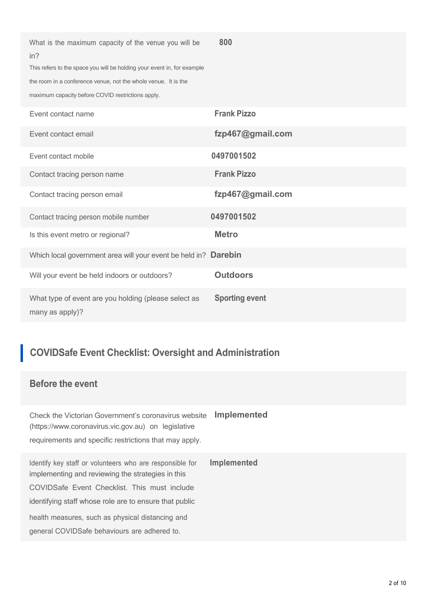| What is the maximum capacity of the venue you will be<br>in?<br>This refers to the space you will be holding your event in, for example<br>the room in a conference venue, not the whole venue. It is the<br>maximum capacity before COVID restrictions apply. | 800                   |
|----------------------------------------------------------------------------------------------------------------------------------------------------------------------------------------------------------------------------------------------------------------|-----------------------|
| Event contact name                                                                                                                                                                                                                                             | <b>Frank Pizzo</b>    |
| Event contact email                                                                                                                                                                                                                                            | fzp467@gmail.com      |
| Event contact mobile                                                                                                                                                                                                                                           | 0497001502            |
| Contact tracing person name                                                                                                                                                                                                                                    | <b>Frank Pizzo</b>    |
| Contact tracing person email                                                                                                                                                                                                                                   | fzp467@gmail.com      |
| Contact tracing person mobile number                                                                                                                                                                                                                           | 0497001502            |
| Is this event metro or regional?                                                                                                                                                                                                                               | <b>Metro</b>          |
| Which local government area will your event be held in? Darebin                                                                                                                                                                                                |                       |
| Will your event be held indoors or outdoors?                                                                                                                                                                                                                   | <b>Outdoors</b>       |
| What type of event are you holding (please select as<br>many as apply)?                                                                                                                                                                                        | <b>Sporting event</b> |

# **COVIDSafe Event Checklist: Oversight and Administration**

#### **Before the event**

Check the Victorian Government's coronavirus website **Implemented** (https://www.coronavirus.vic.gov.au) on legislative requirements and specific restrictions that may apply.

Identify key staff or volunteers who are responsible for **Implemented** implementing and reviewing the strategies in this COVIDSafe Event Checklist. This must include identifying staff whose role are to ensure that public health measures, such as physical distancing and general COVIDSafe behaviours are adhered to.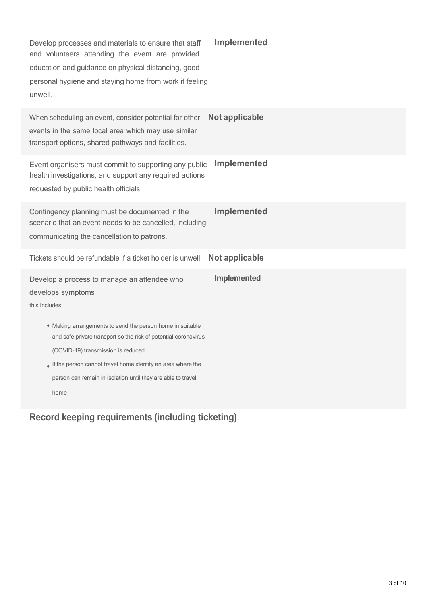| Develop processes and materials to ensure that staff<br>and volunteers attending the event are provided<br>education and guidance on physical distancing, good<br>personal hygiene and staying home from work if feeling<br>unwell.                                                                        | <b>Implemented</b> |
|------------------------------------------------------------------------------------------------------------------------------------------------------------------------------------------------------------------------------------------------------------------------------------------------------------|--------------------|
| When scheduling an event, consider potential for other<br>events in the same local area which may use similar<br>transport options, shared pathways and facilities.                                                                                                                                        | Not applicable     |
| Event organisers must commit to supporting any public<br>health investigations, and support any required actions<br>requested by public health officials.                                                                                                                                                  | <b>Implemented</b> |
| Contingency planning must be documented in the<br>scenario that an event needs to be cancelled, including<br>communicating the cancellation to patrons.                                                                                                                                                    | Implemented        |
| Tickets should be refundable if a ticket holder is unwell.                                                                                                                                                                                                                                                 | Not applicable     |
| Develop a process to manage an attendee who<br>develops symptoms<br>this includes:                                                                                                                                                                                                                         | <b>Implemented</b> |
| • Making arrangements to send the person home in suitable<br>and safe private transport so the risk of potential coronavirus<br>(COVID-19) transmission is reduced.<br>If the person cannot travel home identify an area where the<br>person can remain in isolation until they are able to travel<br>home |                    |
|                                                                                                                                                                                                                                                                                                            |                    |

**Record keeping requirements (including ticketing)**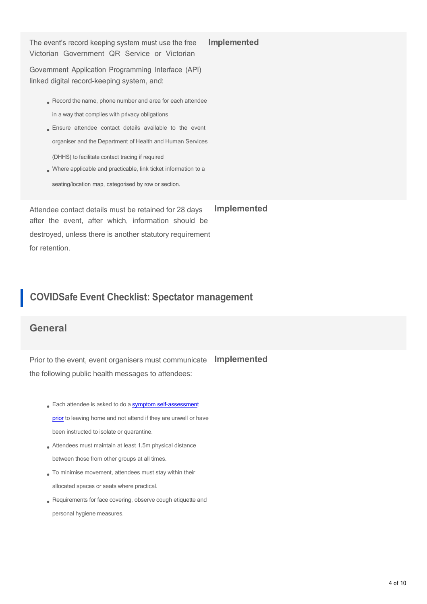The event's record keeping system must use the free Victorian Government QR Service or Victorian

Implemented

Government Application Programming Interface (API) linked digital record-keeping system, and:

- Record the name, phone number and area for each attendee in a way that complies with privacy obligations
- Ensure attendee contact details available to the event organiser and the Department of Health and Human Services (DHHS) to facilitate contact tracing if required
- Where applicable and practicable, link ticket information to aseating/location map, categorised by row or section.

Attendee contact details must be retained for 28 days after the event, after which, information should be destroyed, unless there is another statutory requirement for retention. **Implemented**

## **COVIDSafe Event Checklist: Spectator management**

#### **General**

Prior to the event, event organisers must communicate **Implemented** the following public health messages to attendees:

- Each attendee is asked to do a symptom self-assessment prior to leaving home and not attend if they are unwell or have been instructed to isolate or quarantine.
- Attendees must maintain at least 1.5m physical distance between those from other groups at all times.
- To minimise movement, attendees must stay within their allocated spaces or seats where practical.
- Requirements for face covering, observe cough etiquette and personal hygiene measures.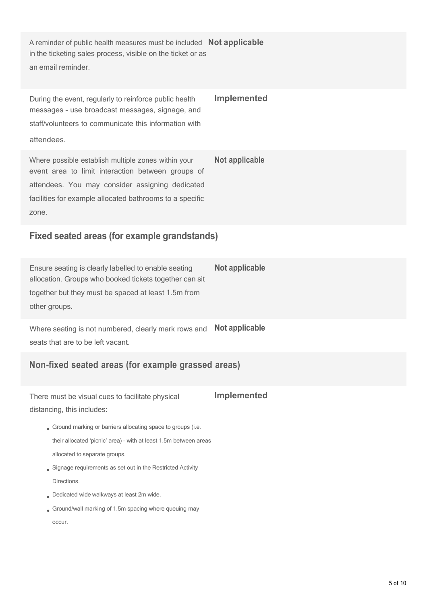A reminder of public health measures must be included **Not applicable** in the ticketing sales process, visible on the ticket or as an email reminder.

During the event, regularly to reinforce public health messages – use broadcast messages, signage, and staff/volunteers to communicate this information with attendees. **Implemented** Where possible establish multiple zones within your **Not applicable** event area to limit interaction between groups of

attendees. You may consider assigning dedicated facilities for example allocated bathrooms to a specific zone.

## **Fixed seated areas (for example grandstands)**

Ensure seating is clearly labelled to enable seating **Not applicable** allocation. Groups who booked tickets together can sit together but they must be spaced at least 1.5m from other groups.

Where seating is not numbered, clearly mark rows and seats that are to be left vacant. **Not applicable**

## **Non-fixed seated areas (for example grassed areas)**

There must be visual cues to facilitate physical distancing, this includes: **Implemented**

- Ground marking or barriers allocating space to groups (i.e. their allocated 'picnic' area) – with at least 1.5m between areas allocated to separate groups.
- Signage requirements as set out in the Restricted Activity **Directions**
- Dedicated wide walkways at least 2m wide.
- Ground/wall marking of 1.5m spacing where queuing may occur.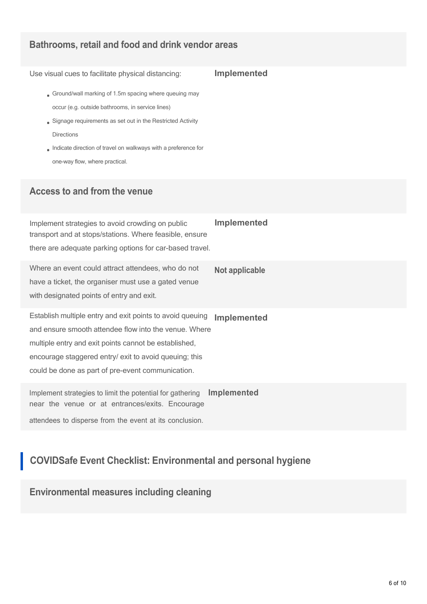## **Bathrooms, retail and food and drink vendor areas**

Use visual cues to facilitate physical distancing: **Implemented**

- Ground/wall marking of 1.5m spacing where queuing may occur (e.g. outside bathrooms, in service lines)
- Signage requirements as set out in the Restricted Activity Directions
- Indicate direction of travel on walkways with a preference for one-way flow, where practical.

#### **Access to and from the venue**

| Implement strategies to avoid crowding on public<br>transport and at stops/stations. Where feasible, ensure<br>there are adequate parking options for car-based travel.                                                                                                                    | <b>Implemented</b> |
|--------------------------------------------------------------------------------------------------------------------------------------------------------------------------------------------------------------------------------------------------------------------------------------------|--------------------|
| Where an event could attract attendees, who do not<br>have a ticket, the organiser must use a gated venue<br>with designated points of entry and exit.                                                                                                                                     | Not applicable     |
| Establish multiple entry and exit points to avoid queuing<br>and ensure smooth attendee flow into the venue. Where<br>multiple entry and exit points cannot be established,<br>encourage staggered entry/ exit to avoid queuing; this<br>could be done as part of pre-event communication. | <b>Implemented</b> |
| Implement strategies to limit the potential for gathering<br>near the venue or at entrances/exits. Encourage                                                                                                                                                                               | <b>Implemented</b> |

attendees to disperse from the event at its conclusion.

# **COVIDSafe Event Checklist: Environmental and personal hygiene**

**Environmental measures including cleaning**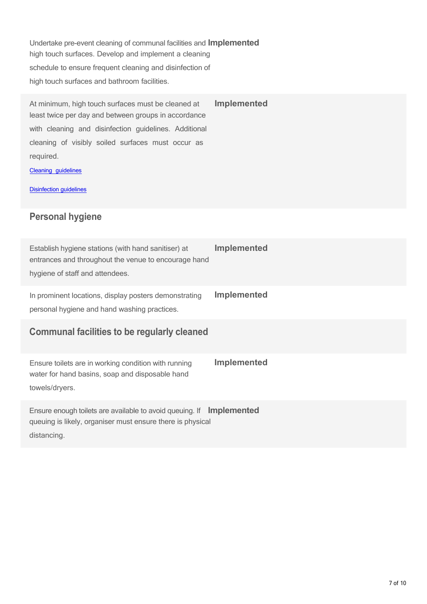Undertake pre-event cleaning of communal facilities and **Implemented** high touch surfaces. Develop and implement a cleaning schedule to ensure frequent cleaning and disinfection of high touch surfaces and bathroom facilities.

At minimum, high touch surfaces must be cleaned at **Implemented** least twice per day and between groups in accordance with cleaning and disinfection guidelines. Additional cleaning of visibly soiled surfaces must occur as required.

Cleaning guidelines

**Disinfection guidelines** 

### **Personal hygiene**

| Establish hygiene stations (with hand sanitiser) at<br>entrances and throughout the venue to encourage hand<br>hygiene of staff and attendees.    | <b>Implemented</b> |
|---------------------------------------------------------------------------------------------------------------------------------------------------|--------------------|
| In prominent locations, display posters demonstrating<br>personal hygiene and hand washing practices.                                             | <b>Implemented</b> |
| <b>Communal facilities to be regularly cleaned</b>                                                                                                |                    |
| Ensure toilets are in working condition with running<br>water for hand basins, soap and disposable hand<br>towels/dryers.                         | <b>Implemented</b> |
| Ensure enough toilets are available to avoid queuing. If Implemented<br>queuing is likely, organiser must ensure there is physical<br>distancing. |                    |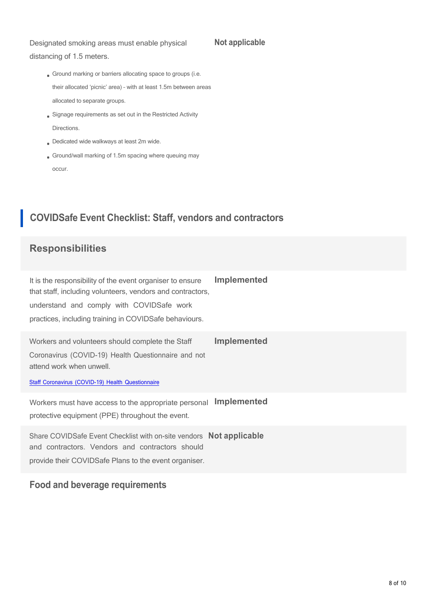#### Designated smoking areas must enable physical

#### **Not applicable**

distancing of 1.5 meters.

- Ground marking or barriers allocating space to groups (i.e. their allocated 'picnic' area) – with at least 1.5m between areas allocated to separate groups.
- Signage requirements as set out in the Restricted Activity **Directions**
- Dedicated wide walkways at least 2m wide.
- Ground/wall marking of 1.5m spacing where queuing may occur.

# **COVIDSafe Event Checklist: Staff, vendors and contractors**

## **Responsibilities**

It is the responsibility of the event organiser to ensure that staff, including volunteers, vendors and contractors, understand and comply with COVIDSafe work practices, including training in COVIDSafe behaviours. **Implemented**

Workers and volunteers should complete the Staff **Implemented** Coronavirus (COVID-19) Health Questionnaire and not attend work when unwell.

Staff Coronavirus (COVID-19) Health Questionnaire

Workers must have access to the appropriate personal **Implemented** protective equipment (PPE) throughout the event.

Share COVIDSafe Event Checklist with on-site vendors **Not applicable** and contractors. Vendors and contractors should provide their COVIDSafe Plans to the event organiser.

#### **Food and beverage requirements**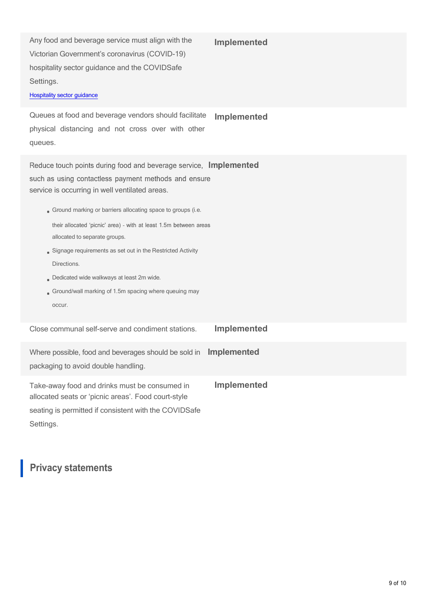Any food and beverage service must align with the Victorian Government's coronavirus (COVID-19) hospitality sector guidance and the COVIDSafe Settings.

#### **Implemented**

#### Hospitality sector guidance

Queues at food and beverage vendors should facilitate physical distancing and not cross over with other queues. **Implemented**

Reduce touch points during food and beverage service, Implemented such as using contactless payment methods and ensure service is occurring in well ventilated areas.

- Ground marking or barriers allocating space to groups (i.e. their allocated 'picnic' area) - with at least 1.5m between areas allocated to separate groups.
- Signage requirements as set out in the Restricted Activity Directions.
- Dedicated wide walkways at least 2m wide.
- Ground/wall marking of 1.5m spacing where queuing may occur.

Close communal self-serve and condiment stations. **Implemented**

| Where possible, food and beverages should be sold in Implemented                                                                                              |                    |
|---------------------------------------------------------------------------------------------------------------------------------------------------------------|--------------------|
| packaging to avoid double handling.                                                                                                                           |                    |
| Take-away food and drinks must be consumed in<br>allocated seats or 'picnic areas'. Food court-style<br>seating is permitted if consistent with the COVIDSafe | <b>Implemented</b> |

Settings.

## **Privacy statements**